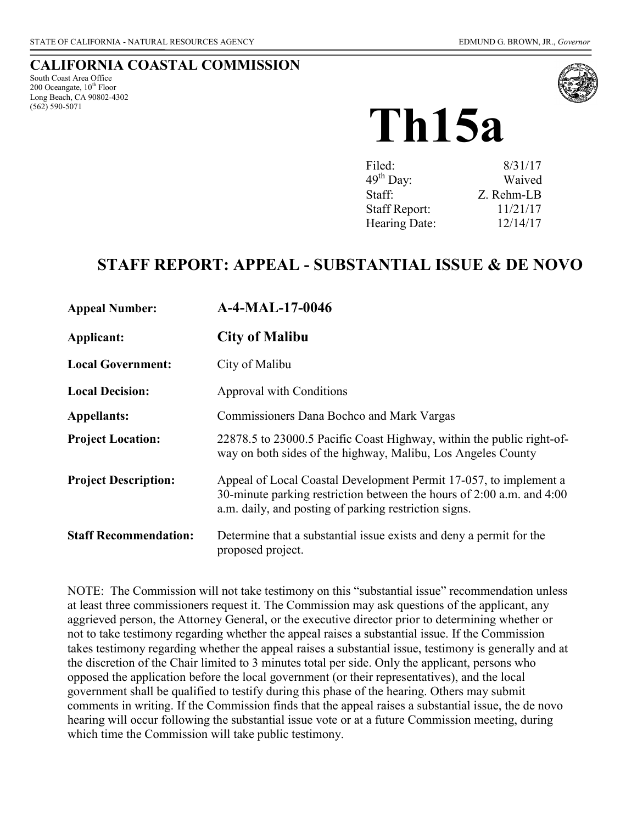## **CALIFORNIA COASTAL COMMISSION**

South Coast Area Office 200 Oceangate,  $10^{th}$  Floor Long Beach, CA 90802-4302 (562) 590-5071



# **Th15a**

| 8/31/17    |
|------------|
| Waived     |
| Z. Rehm-LB |
| 11/21/17   |
| 12/14/17   |
|            |

## **STAFF REPORT: APPEAL - SUBSTANTIAL ISSUE & DE NOVO**

| <b>Appeal Number:</b>        | A-4-MAL-17-0046                                                                                                                                                                                     |
|------------------------------|-----------------------------------------------------------------------------------------------------------------------------------------------------------------------------------------------------|
| Applicant:                   | <b>City of Malibu</b>                                                                                                                                                                               |
| <b>Local Government:</b>     | City of Malibu                                                                                                                                                                                      |
| <b>Local Decision:</b>       | Approval with Conditions                                                                                                                                                                            |
| <b>Appellants:</b>           | Commissioners Dana Bochco and Mark Vargas                                                                                                                                                           |
| <b>Project Location:</b>     | 22878.5 to 23000.5 Pacific Coast Highway, within the public right-of-<br>way on both sides of the highway, Malibu, Los Angeles County                                                               |
| <b>Project Description:</b>  | Appeal of Local Coastal Development Permit 17-057, to implement a<br>30-minute parking restriction between the hours of 2:00 a.m. and 4:00<br>a.m. daily, and posting of parking restriction signs. |
| <b>Staff Recommendation:</b> | Determine that a substantial issue exists and deny a permit for the<br>proposed project.                                                                                                            |

NOTE: The Commission will not take testimony on this "substantial issue" recommendation unless at least three commissioners request it. The Commission may ask questions of the applicant, any aggrieved person, the Attorney General, or the executive director prior to determining whether or not to take testimony regarding whether the appeal raises a substantial issue. If the Commission takes testimony regarding whether the appeal raises a substantial issue, testimony is generally and at the discretion of the Chair limited to 3 minutes total per side. Only the applicant, persons who opposed the application before the local government (or their representatives), and the local government shall be qualified to testify during this phase of the hearing. Others may submit comments in writing. If the Commission finds that the appeal raises a substantial issue, the de novo hearing will occur following the substantial issue vote or at a future Commission meeting, during which time the Commission will take public testimony.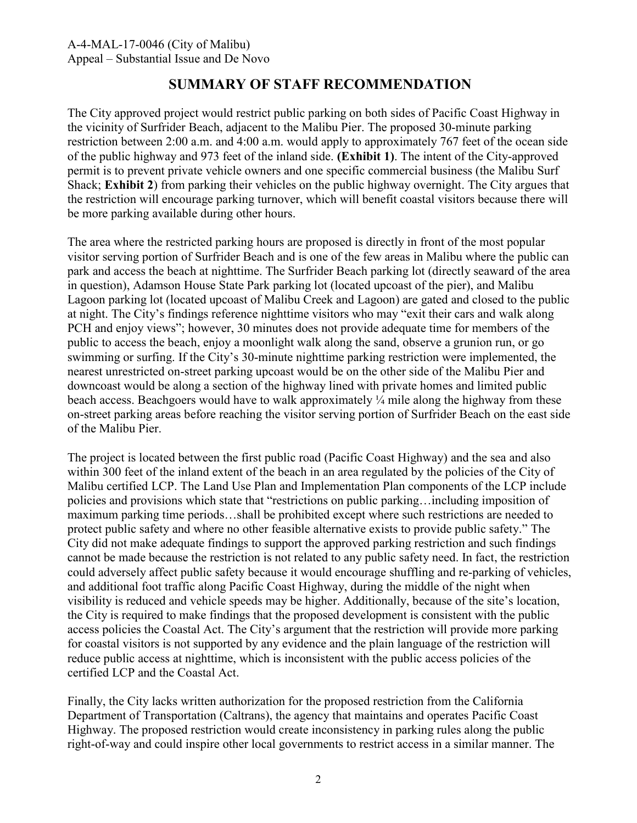## **SUMMARY OF STAFF RECOMMENDATION**

The City approved project would restrict public parking on both sides of Pacific Coast Highway in the vicinity of Surfrider Beach, adjacent to the Malibu Pier. The proposed 30-minute parking restriction between 2:00 a.m. and 4:00 a.m. would apply to approximately 767 feet of the ocean side of the public highway and 973 feet of the inland side. **(Exhibit 1)**. The intent of the City-approved permit is to prevent private vehicle owners and one specific commercial business (the Malibu Surf Shack; **Exhibit 2**) from parking their vehicles on the public highway overnight. The City argues that the restriction will encourage parking turnover, which will benefit coastal visitors because there will be more parking available during other hours.

The area where the restricted parking hours are proposed is directly in front of the most popular visitor serving portion of Surfrider Beach and is one of the few areas in Malibu where the public can park and access the beach at nighttime. The Surfrider Beach parking lot (directly seaward of the area in question), Adamson House State Park parking lot (located upcoast of the pier), and Malibu Lagoon parking lot (located upcoast of Malibu Creek and Lagoon) are gated and closed to the public at night. The City's findings reference nighttime visitors who may "exit their cars and walk along PCH and enjoy views"; however, 30 minutes does not provide adequate time for members of the public to access the beach, enjoy a moonlight walk along the sand, observe a grunion run, or go swimming or surfing. If the City's 30-minute nighttime parking restriction were implemented, the nearest unrestricted on-street parking upcoast would be on the other side of the Malibu Pier and downcoast would be along a section of the highway lined with private homes and limited public beach access. Beachgoers would have to walk approximately  $\frac{1}{4}$  mile along the highway from these on-street parking areas before reaching the visitor serving portion of Surfrider Beach on the east side of the Malibu Pier.

The project is located between the first public road (Pacific Coast Highway) and the sea and also within 300 feet of the inland extent of the beach in an area regulated by the policies of the City of Malibu certified LCP. The Land Use Plan and Implementation Plan components of the LCP include policies and provisions which state that "restrictions on public parking…including imposition of maximum parking time periods…shall be prohibited except where such restrictions are needed to protect public safety and where no other feasible alternative exists to provide public safety." The City did not make adequate findings to support the approved parking restriction and such findings cannot be made because the restriction is not related to any public safety need. In fact, the restriction could adversely affect public safety because it would encourage shuffling and re-parking of vehicles, and additional foot traffic along Pacific Coast Highway, during the middle of the night when visibility is reduced and vehicle speeds may be higher. Additionally, because of the site's location, the City is required to make findings that the proposed development is consistent with the public access policies the Coastal Act. The City's argument that the restriction will provide more parking for coastal visitors is not supported by any evidence and the plain language of the restriction will reduce public access at nighttime, which is inconsistent with the public access policies of the certified LCP and the Coastal Act.

Finally, the City lacks written authorization for the proposed restriction from the California Department of Transportation (Caltrans), the agency that maintains and operates Pacific Coast Highway. The proposed restriction would create inconsistency in parking rules along the public right-of-way and could inspire other local governments to restrict access in a similar manner. The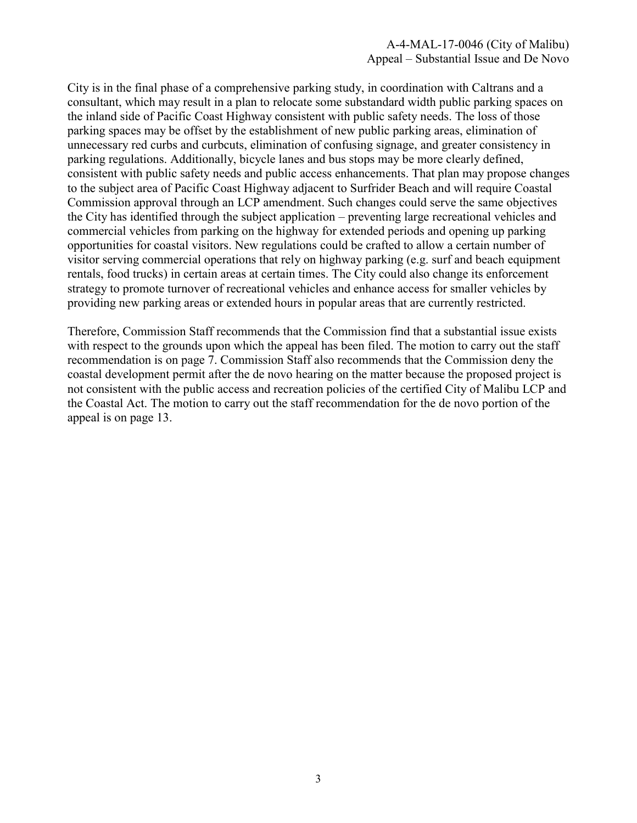City is in the final phase of a comprehensive parking study, in coordination with Caltrans and a consultant, which may result in a plan to relocate some substandard width public parking spaces on the inland side of Pacific Coast Highway consistent with public safety needs. The loss of those parking spaces may be offset by the establishment of new public parking areas, elimination of unnecessary red curbs and curbcuts, elimination of confusing signage, and greater consistency in parking regulations. Additionally, bicycle lanes and bus stops may be more clearly defined, consistent with public safety needs and public access enhancements. That plan may propose changes to the subject area of Pacific Coast Highway adjacent to Surfrider Beach and will require Coastal Commission approval through an LCP amendment. Such changes could serve the same objectives the City has identified through the subject application – preventing large recreational vehicles and commercial vehicles from parking on the highway for extended periods and opening up parking opportunities for coastal visitors. New regulations could be crafted to allow a certain number of visitor serving commercial operations that rely on highway parking (e.g. surf and beach equipment rentals, food trucks) in certain areas at certain times. The City could also change its enforcement strategy to promote turnover of recreational vehicles and enhance access for smaller vehicles by providing new parking areas or extended hours in popular areas that are currently restricted.

Therefore, Commission Staff recommends that the Commission find that a substantial issue exists with respect to the grounds upon which the appeal has been filed. The motion to carry out the staff recommendation is on page 7. Commission Staff also recommends that the Commission deny the coastal development permit after the de novo hearing on the matter because the proposed project is not consistent with the public access and recreation policies of the certified City of Malibu LCP and the Coastal Act. The motion to carry out the staff recommendation for the de novo portion of the appeal is on page 13.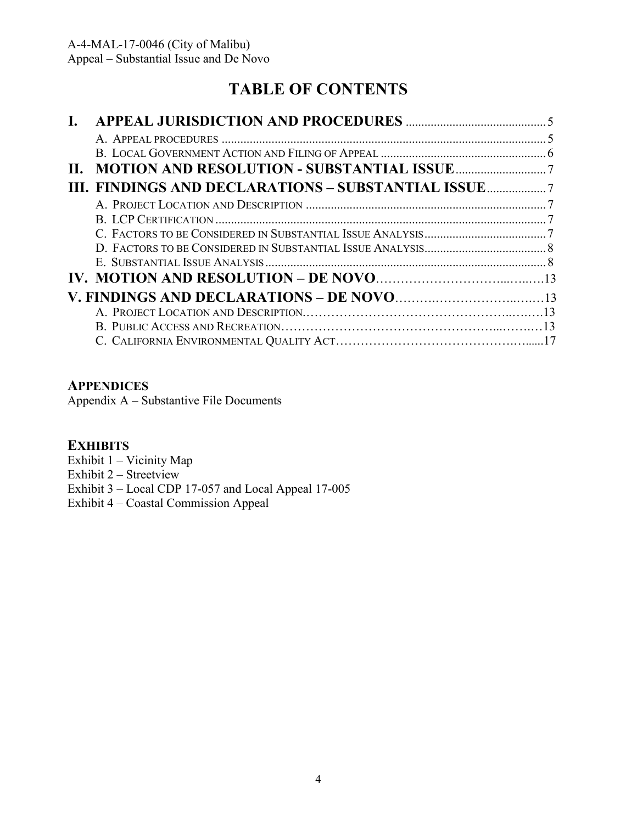# **TABLE OF CONTENTS**

| Н. |                                                    |  |
|----|----------------------------------------------------|--|
|    | III. FINDINGS AND DECLARATIONS - SUBSTANTIAL ISSUE |  |
|    |                                                    |  |
|    |                                                    |  |
|    |                                                    |  |
|    |                                                    |  |
|    |                                                    |  |
|    |                                                    |  |
|    |                                                    |  |
|    |                                                    |  |
|    |                                                    |  |
|    |                                                    |  |

#### **APPENDICES**

Appendix A – Substantive File Documents

### **EXHIBITS**

Exhibit 1 – Vicinity Map Exhibit 2 – Streetview Exhibit 3 – Local CDP 17-057 and Local Appeal 17-005 Exhibit 4 – Coastal Commission Appeal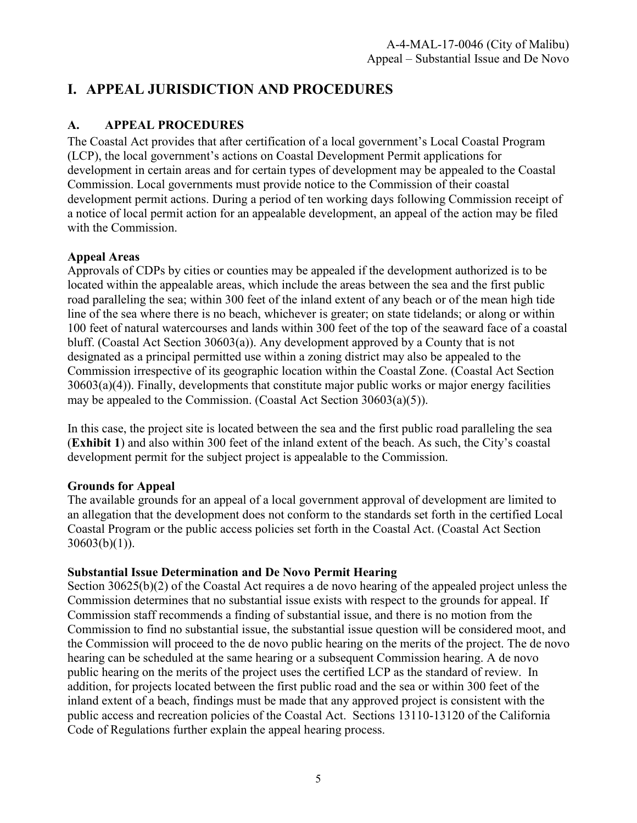## **I. APPEAL JURISDICTION AND PROCEDURES**

#### **A. APPEAL PROCEDURES**

The Coastal Act provides that after certification of a local government's Local Coastal Program (LCP), the local government's actions on Coastal Development Permit applications for development in certain areas and for certain types of development may be appealed to the Coastal Commission. Local governments must provide notice to the Commission of their coastal development permit actions. During a period of ten working days following Commission receipt of a notice of local permit action for an appealable development, an appeal of the action may be filed with the Commission.

#### **Appeal Areas**

Approvals of CDPs by cities or counties may be appealed if the development authorized is to be located within the appealable areas, which include the areas between the sea and the first public road paralleling the sea; within 300 feet of the inland extent of any beach or of the mean high tide line of the sea where there is no beach, whichever is greater; on state tidelands; or along or within 100 feet of natural watercourses and lands within 300 feet of the top of the seaward face of a coastal bluff. (Coastal Act Section 30603(a)). Any development approved by a County that is not designated as a principal permitted use within a zoning district may also be appealed to the Commission irrespective of its geographic location within the Coastal Zone. (Coastal Act Section 30603(a)(4)). Finally, developments that constitute major public works or major energy facilities may be appealed to the Commission. (Coastal Act Section 30603(a)(5)).

In this case, the project site is located between the sea and the first public road paralleling the sea (**Exhibit 1**) and also within 300 feet of the inland extent of the beach. As such, the City's coastal development permit for the subject project is appealable to the Commission.

#### **Grounds for Appeal**

The available grounds for an appeal of a local government approval of development are limited to an allegation that the development does not conform to the standards set forth in the certified Local Coastal Program or the public access policies set forth in the Coastal Act. (Coastal Act Section  $30603(b)(1)$ ).

#### **Substantial Issue Determination and De Novo Permit Hearing**

Section 30625(b)(2) of the Coastal Act requires a de novo hearing of the appealed project unless the Commission determines that no substantial issue exists with respect to the grounds for appeal. If Commission staff recommends a finding of substantial issue, and there is no motion from the Commission to find no substantial issue, the substantial issue question will be considered moot, and the Commission will proceed to the de novo public hearing on the merits of the project. The de novo hearing can be scheduled at the same hearing or a subsequent Commission hearing. A de novo public hearing on the merits of the project uses the certified LCP as the standard of review. In addition, for projects located between the first public road and the sea or within 300 feet of the inland extent of a beach, findings must be made that any approved project is consistent with the public access and recreation policies of the Coastal Act. Sections 13110-13120 of the California Code of Regulations further explain the appeal hearing process.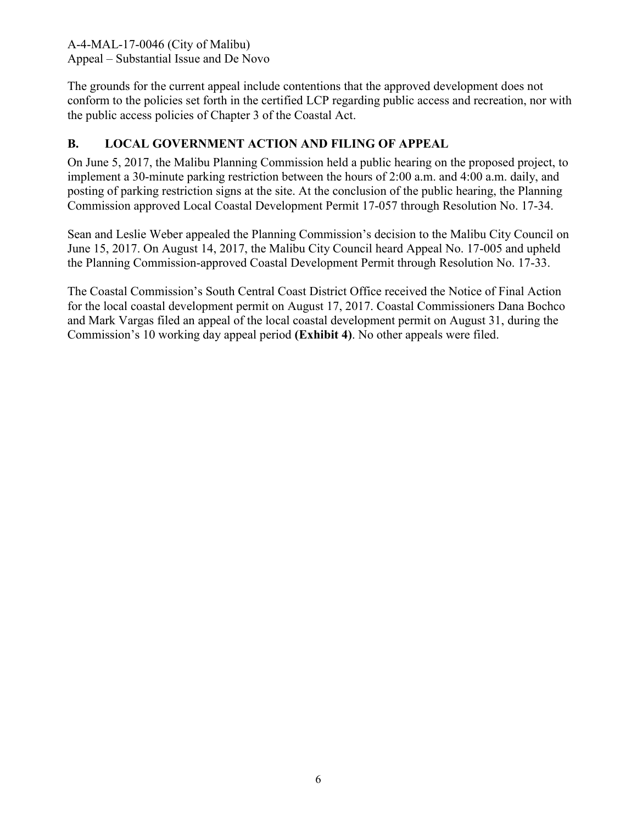The grounds for the current appeal include contentions that the approved development does not conform to the policies set forth in the certified LCP regarding public access and recreation, nor with the public access policies of Chapter 3 of the Coastal Act.

#### **B. LOCAL GOVERNMENT ACTION AND FILING OF APPEAL**

On June 5, 2017, the Malibu Planning Commission held a public hearing on the proposed project, to implement a 30-minute parking restriction between the hours of 2:00 a.m. and 4:00 a.m. daily, and posting of parking restriction signs at the site. At the conclusion of the public hearing, the Planning Commission approved Local Coastal Development Permit 17-057 through Resolution No. 17-34.

Sean and Leslie Weber appealed the Planning Commission's decision to the Malibu City Council on June 15, 2017. On August 14, 2017, the Malibu City Council heard Appeal No. 17-005 and upheld the Planning Commission-approved Coastal Development Permit through Resolution No. 17-33.

The Coastal Commission's South Central Coast District Office received the Notice of Final Action for the local coastal development permit on August 17, 2017. Coastal Commissioners Dana Bochco and Mark Vargas filed an appeal of the local coastal development permit on August 31, during the Commission's 10 working day appeal period **(Exhibit 4)**. No other appeals were filed.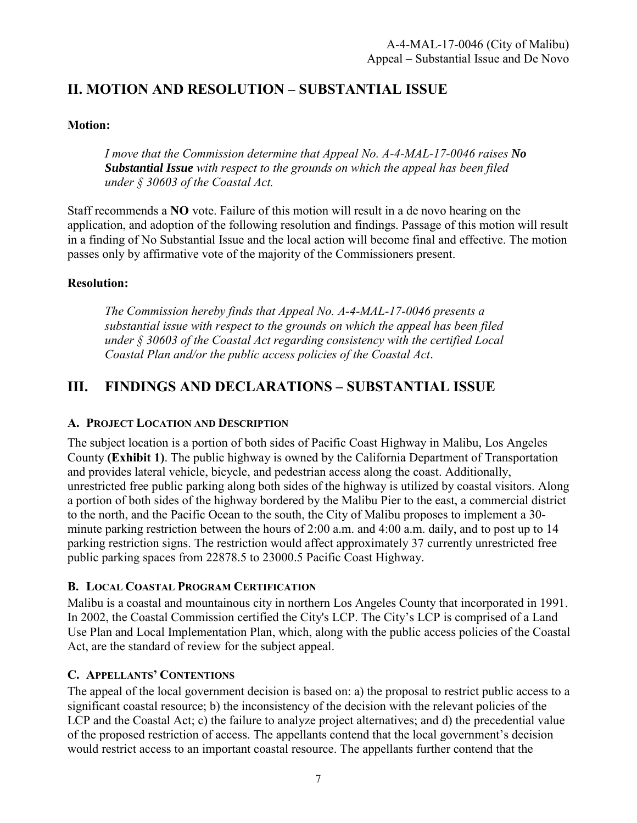## **II. MOTION AND RESOLUTION – SUBSTANTIAL ISSUE**

#### **Motion:**

*I move that the Commission determine that Appeal No. A-4-MAL-17-0046 raises No Substantial Issue with respect to the grounds on which the appeal has been filed under § 30603 of the Coastal Act.*

Staff recommends a **NO** vote. Failure of this motion will result in a de novo hearing on the application, and adoption of the following resolution and findings. Passage of this motion will result in a finding of No Substantial Issue and the local action will become final and effective. The motion passes only by affirmative vote of the majority of the Commissioners present.

#### **Resolution:**

*The Commission hereby finds that Appeal No. A-4-MAL-17-0046 presents a substantial issue with respect to the grounds on which the appeal has been filed under § 30603 of the Coastal Act regarding consistency with the certified Local Coastal Plan and/or the public access policies of the Coastal Act*.

## **III. FINDINGS AND DECLARATIONS – SUBSTANTIAL ISSUE**

#### **A. PROJECT LOCATION AND DESCRIPTION**

The subject location is a portion of both sides of Pacific Coast Highway in Malibu, Los Angeles County **(Exhibit 1)**. The public highway is owned by the California Department of Transportation and provides lateral vehicle, bicycle, and pedestrian access along the coast. Additionally, unrestricted free public parking along both sides of the highway is utilized by coastal visitors. Along a portion of both sides of the highway bordered by the Malibu Pier to the east, a commercial district to the north, and the Pacific Ocean to the south, the City of Malibu proposes to implement a 30 minute parking restriction between the hours of 2:00 a.m. and 4:00 a.m. daily, and to post up to 14 parking restriction signs. The restriction would affect approximately 37 currently unrestricted free public parking spaces from 22878.5 to 23000.5 Pacific Coast Highway.

#### **B. LOCAL COASTAL PROGRAM CERTIFICATION**

Malibu is a coastal and mountainous city in northern Los Angeles County that incorporated in 1991. In 2002, the Coastal Commission certified the City's LCP. The City's LCP is comprised of a Land Use Plan and Local Implementation Plan, which, along with the public access policies of the Coastal Act, are the standard of review for the subject appeal.

#### **C. APPELLANTS' CONTENTIONS**

The appeal of the local government decision is based on: a) the proposal to restrict public access to a significant coastal resource; b) the inconsistency of the decision with the relevant policies of the LCP and the Coastal Act; c) the failure to analyze project alternatives; and d) the precedential value of the proposed restriction of access. The appellants contend that the local government's decision would restrict access to an important coastal resource. The appellants further contend that the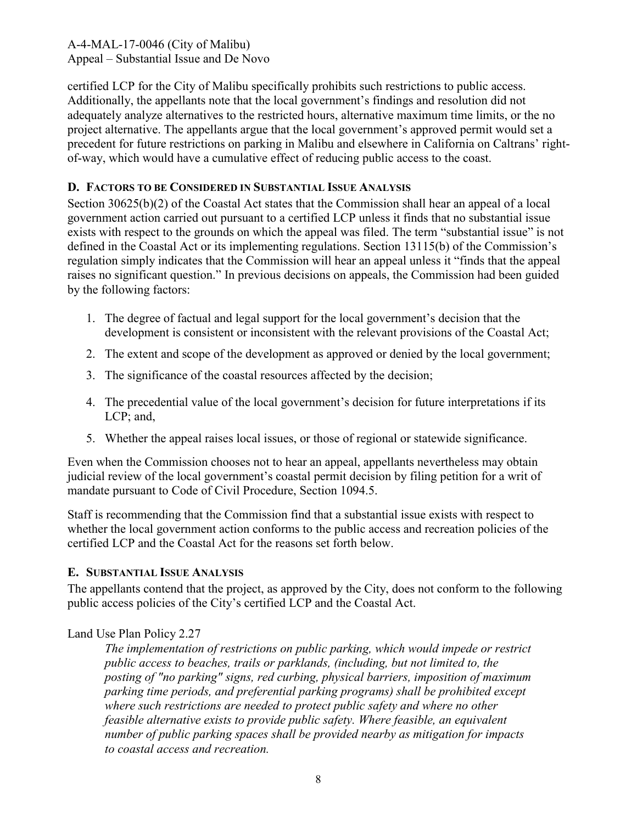certified LCP for the City of Malibu specifically prohibits such restrictions to public access. Additionally, the appellants note that the local government's findings and resolution did not adequately analyze alternatives to the restricted hours, alternative maximum time limits, or the no project alternative. The appellants argue that the local government's approved permit would set a precedent for future restrictions on parking in Malibu and elsewhere in California on Caltrans' rightof-way, which would have a cumulative effect of reducing public access to the coast.

#### **D. FACTORS TO BE CONSIDERED IN SUBSTANTIAL ISSUE ANALYSIS**

Section 30625(b)(2) of the Coastal Act states that the Commission shall hear an appeal of a local government action carried out pursuant to a certified LCP unless it finds that no substantial issue exists with respect to the grounds on which the appeal was filed. The term "substantial issue" is not defined in the Coastal Act or its implementing regulations. Section 13115(b) of the Commission's regulation simply indicates that the Commission will hear an appeal unless it "finds that the appeal raises no significant question." In previous decisions on appeals, the Commission had been guided by the following factors:

- 1. The degree of factual and legal support for the local government's decision that the development is consistent or inconsistent with the relevant provisions of the Coastal Act;
- 2. The extent and scope of the development as approved or denied by the local government;
- 3. The significance of the coastal resources affected by the decision;
- 4. The precedential value of the local government's decision for future interpretations if its LCP; and,
- 5. Whether the appeal raises local issues, or those of regional or statewide significance.

Even when the Commission chooses not to hear an appeal, appellants nevertheless may obtain judicial review of the local government's coastal permit decision by filing petition for a writ of mandate pursuant to Code of Civil Procedure, Section 1094.5.

Staff is recommending that the Commission find that a substantial issue exists with respect to whether the local government action conforms to the public access and recreation policies of the certified LCP and the Coastal Act for the reasons set forth below.

#### **E. SUBSTANTIAL ISSUE ANALYSIS**

The appellants contend that the project, as approved by the City, does not conform to the following public access policies of the City's certified LCP and the Coastal Act.

#### Land Use Plan Policy 2.27

*The implementation of restrictions on public parking, which would impede or restrict public access to beaches, trails or parklands, (including, but not limited to, the posting of "no parking" signs, red curbing, physical barriers, imposition of maximum parking time periods, and preferential parking programs) shall be prohibited except where such restrictions are needed to protect public safety and where no other feasible alternative exists to provide public safety. Where feasible, an equivalent number of public parking spaces shall be provided nearby as mitigation for impacts to coastal access and recreation.*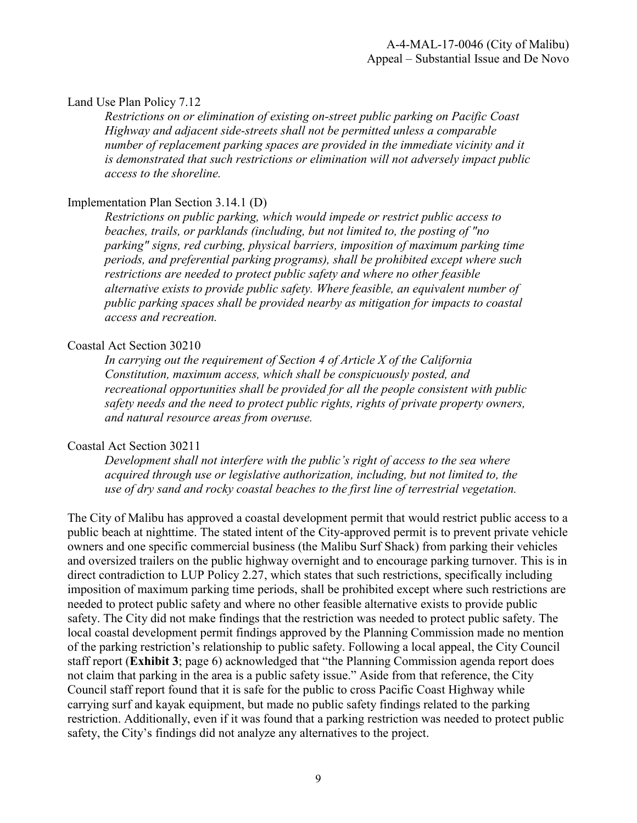#### Land Use Plan Policy 7.12

*Restrictions on or elimination of existing on-street public parking on Pacific Coast Highway and adjacent side-streets shall not be permitted unless a comparable number of replacement parking spaces are provided in the immediate vicinity and it is demonstrated that such restrictions or elimination will not adversely impact public access to the shoreline.* 

#### Implementation Plan Section 3.14.1 (D)

*Restrictions on public parking, which would impede or restrict public access to beaches, trails, or parklands (including, but not limited to, the posting of "no parking" signs, red curbing, physical barriers, imposition of maximum parking time periods, and preferential parking programs), shall be prohibited except where such restrictions are needed to protect public safety and where no other feasible alternative exists to provide public safety. Where feasible, an equivalent number of public parking spaces shall be provided nearby as mitigation for impacts to coastal access and recreation.* 

#### Coastal Act Section 30210

*In carrying out the requirement of Section 4 of Article X of the California Constitution, maximum access, which shall be conspicuously posted, and recreational opportunities shall be provided for all the people consistent with public safety needs and the need to protect public rights, rights of private property owners, and natural resource areas from overuse.* 

#### Coastal Act Section 30211

*Development shall not interfere with the public's right of access to the sea where acquired through use or legislative authorization, including, but not limited to, the use of dry sand and rocky coastal beaches to the first line of terrestrial vegetation.* 

The City of Malibu has approved a coastal development permit that would restrict public access to a public beach at nighttime. The stated intent of the City-approved permit is to prevent private vehicle owners and one specific commercial business (the Malibu Surf Shack) from parking their vehicles and oversized trailers on the public highway overnight and to encourage parking turnover. This is in direct contradiction to LUP Policy 2.27, which states that such restrictions, specifically including imposition of maximum parking time periods, shall be prohibited except where such restrictions are needed to protect public safety and where no other feasible alternative exists to provide public safety. The City did not make findings that the restriction was needed to protect public safety. The local coastal development permit findings approved by the Planning Commission made no mention of the parking restriction's relationship to public safety. Following a local appeal, the City Council staff report (**Exhibit 3**; page 6) acknowledged that "the Planning Commission agenda report does not claim that parking in the area is a public safety issue." Aside from that reference, the City Council staff report found that it is safe for the public to cross Pacific Coast Highway while carrying surf and kayak equipment, but made no public safety findings related to the parking restriction. Additionally, even if it was found that a parking restriction was needed to protect public safety, the City's findings did not analyze any alternatives to the project.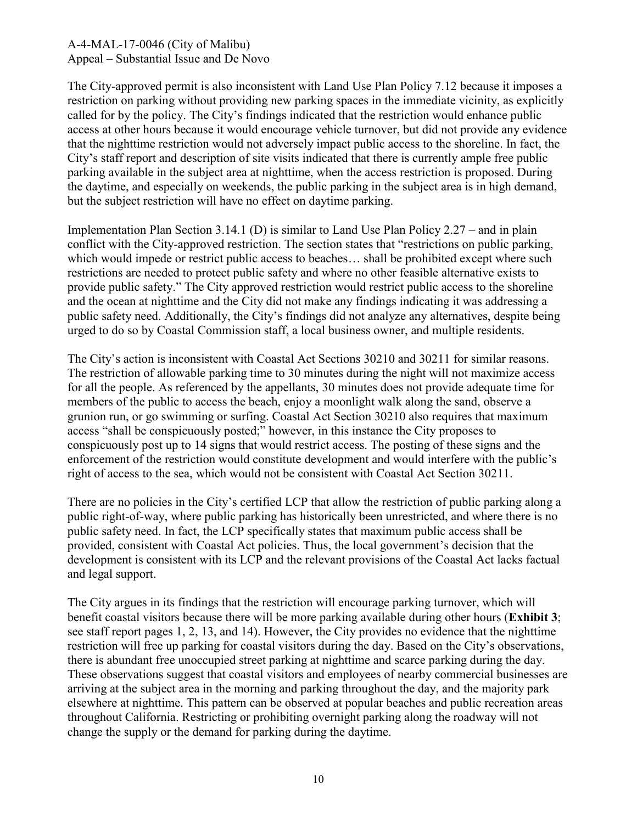The City-approved permit is also inconsistent with Land Use Plan Policy 7.12 because it imposes a restriction on parking without providing new parking spaces in the immediate vicinity, as explicitly called for by the policy. The City's findings indicated that the restriction would enhance public access at other hours because it would encourage vehicle turnover, but did not provide any evidence that the nighttime restriction would not adversely impact public access to the shoreline. In fact, the City's staff report and description of site visits indicated that there is currently ample free public parking available in the subject area at nighttime, when the access restriction is proposed. During the daytime, and especially on weekends, the public parking in the subject area is in high demand, but the subject restriction will have no effect on daytime parking.

Implementation Plan Section 3.14.1 (D) is similar to Land Use Plan Policy 2.27 – and in plain conflict with the City-approved restriction. The section states that "restrictions on public parking, which would impede or restrict public access to beaches… shall be prohibited except where such restrictions are needed to protect public safety and where no other feasible alternative exists to provide public safety." The City approved restriction would restrict public access to the shoreline and the ocean at nighttime and the City did not make any findings indicating it was addressing a public safety need. Additionally, the City's findings did not analyze any alternatives, despite being urged to do so by Coastal Commission staff, a local business owner, and multiple residents.

The City's action is inconsistent with Coastal Act Sections 30210 and 30211 for similar reasons. The restriction of allowable parking time to 30 minutes during the night will not maximize access for all the people. As referenced by the appellants, 30 minutes does not provide adequate time for members of the public to access the beach, enjoy a moonlight walk along the sand, observe a grunion run, or go swimming or surfing. Coastal Act Section 30210 also requires that maximum access "shall be conspicuously posted;" however, in this instance the City proposes to conspicuously post up to 14 signs that would restrict access. The posting of these signs and the enforcement of the restriction would constitute development and would interfere with the public's right of access to the sea, which would not be consistent with Coastal Act Section 30211.

There are no policies in the City's certified LCP that allow the restriction of public parking along a public right-of-way, where public parking has historically been unrestricted, and where there is no public safety need. In fact, the LCP specifically states that maximum public access shall be provided, consistent with Coastal Act policies. Thus, the local government's decision that the development is consistent with its LCP and the relevant provisions of the Coastal Act lacks factual and legal support.

The City argues in its findings that the restriction will encourage parking turnover, which will benefit coastal visitors because there will be more parking available during other hours (**Exhibit 3**; see staff report pages 1, 2, 13, and 14). However, the City provides no evidence that the nighttime restriction will free up parking for coastal visitors during the day. Based on the City's observations, there is abundant free unoccupied street parking at nighttime and scarce parking during the day. These observations suggest that coastal visitors and employees of nearby commercial businesses are arriving at the subject area in the morning and parking throughout the day, and the majority park elsewhere at nighttime. This pattern can be observed at popular beaches and public recreation areas throughout California. Restricting or prohibiting overnight parking along the roadway will not change the supply or the demand for parking during the daytime.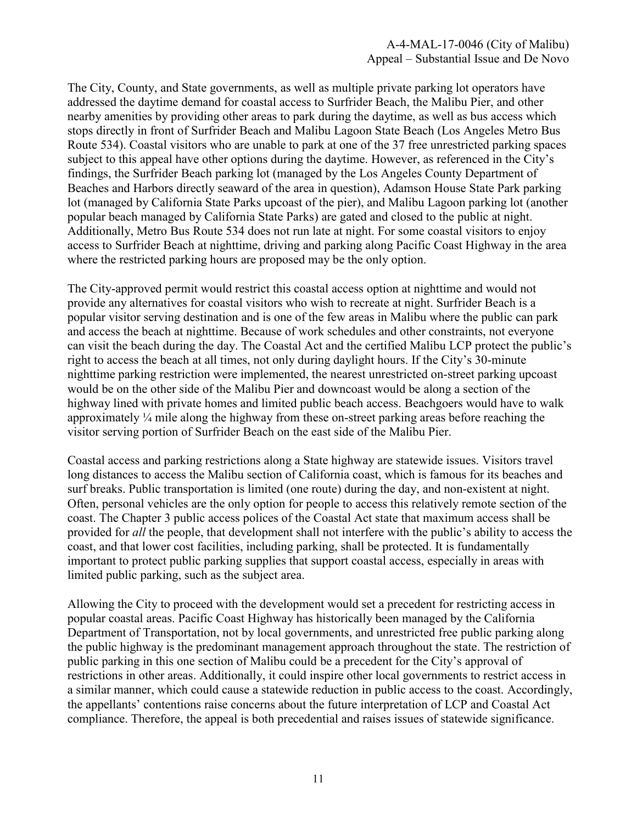The City, County, and State governments, as well as multiple private parking lot operators have addressed the daytime demand for coastal access to Surfrider Beach, the Malibu Pier, and other nearby amenities by providing other areas to park during the daytime, as well as bus access which stops directly in front of Surfrider Beach and Malibu Lagoon State Beach (Los Angeles Metro Bus Route 534). Coastal visitors who are unable to park at one of the 37 free unrestricted parking spaces subject to this appeal have other options during the daytime. However, as referenced in the City's findings, the Surfrider Beach parking lot (managed by the Los Angeles County Department of Beaches and Harbors directly seaward of the area in question), Adamson House State Park parking lot (managed by California State Parks upcoast of the pier), and Malibu Lagoon parking lot (another popular beach managed by California State Parks) are gated and closed to the public at night. Additionally, Metro Bus Route 534 does not run late at night. For some coastal visitors to enjoy access to Surfrider Beach at nighttime, driving and parking along Pacific Coast Highway in the area where the restricted parking hours are proposed may be the only option.

The City-approved permit would restrict this coastal access option at nighttime and would not provide any alternatives for coastal visitors who wish to recreate at night. Surfrider Beach is a popular visitor serving destination and is one of the few areas in Malibu where the public can park and access the beach at nighttime. Because of work schedules and other constraints, not everyone can visit the beach during the day. The Coastal Act and the certified Malibu LCP protect the public's right to access the beach at all times, not only during daylight hours. If the City's 30-minute nighttime parking restriction were implemented, the nearest unrestricted on-street parking upcoast would be on the other side of the Malibu Pier and downcoast would be along a section of the highway lined with private homes and limited public beach access. Beachgoers would have to walk approximately ¼ mile along the highway from these on-street parking areas before reaching the visitor serving portion of Surfrider Beach on the east side of the Malibu Pier.

Coastal access and parking restrictions along a State highway are statewide issues. Visitors travel long distances to access the Malibu section of California coast, which is famous for its beaches and surf breaks. Public transportation is limited (one route) during the day, and non-existent at night. Often, personal vehicles are the only option for people to access this relatively remote section of the coast. The Chapter 3 public access polices of the Coastal Act state that maximum access shall be provided for *all* the people, that development shall not interfere with the public's ability to access the coast, and that lower cost facilities, including parking, shall be protected. It is fundamentally important to protect public parking supplies that support coastal access, especially in areas with limited public parking, such as the subject area.

Allowing the City to proceed with the development would set a precedent for restricting access in popular coastal areas. Pacific Coast Highway has historically been managed by the California Department of Transportation, not by local governments, and unrestricted free public parking along the public highway is the predominant management approach throughout the state. The restriction of public parking in this one section of Malibu could be a precedent for the City's approval of restrictions in other areas. Additionally, it could inspire other local governments to restrict access in a similar manner, which could cause a statewide reduction in public access to the coast. Accordingly, the appellants' contentions raise concerns about the future interpretation of LCP and Coastal Act compliance. Therefore, the appeal is both precedential and raises issues of statewide significance.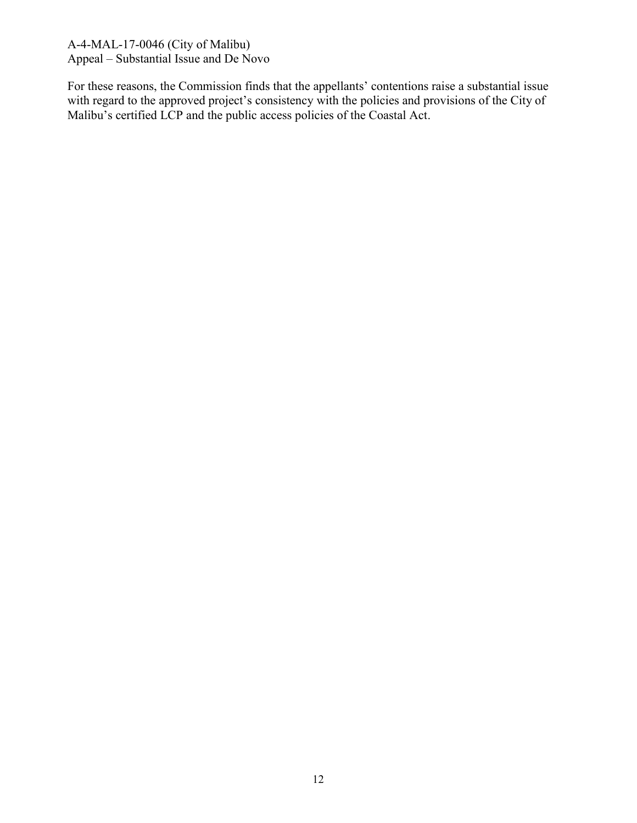For these reasons, the Commission finds that the appellants' contentions raise a substantial issue with regard to the approved project's consistency with the policies and provisions of the City of Malibu's certified LCP and the public access policies of the Coastal Act.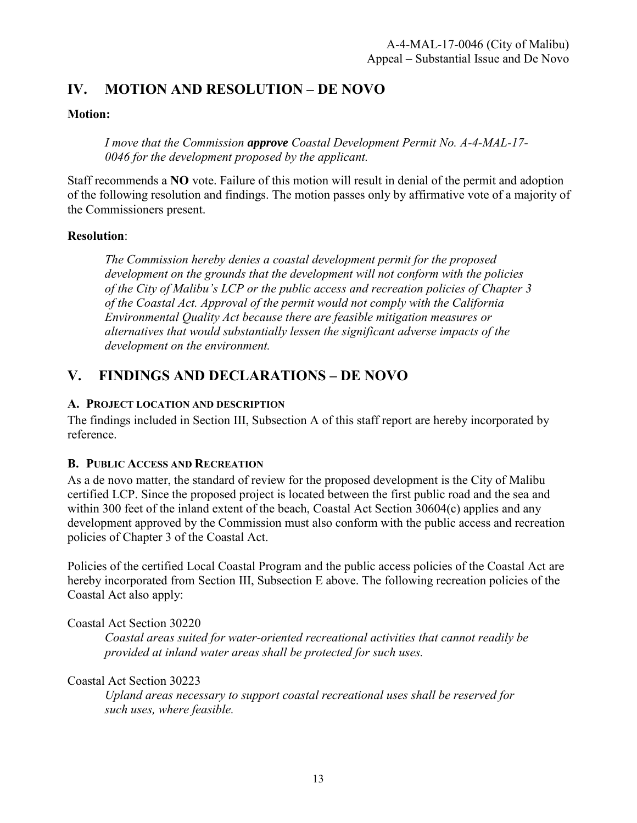## **IV. MOTION AND RESOLUTION – DE NOVO**

#### **Motion:**

*I move that the Commission approve Coastal Development Permit No. A-4-MAL-17- 0046 for the development proposed by the applicant.* 

Staff recommends a **NO** vote. Failure of this motion will result in denial of the permit and adoption of the following resolution and findings. The motion passes only by affirmative vote of a majority of the Commissioners present.

#### **Resolution**:

*The Commission hereby denies a coastal development permit for the proposed development on the grounds that the development will not conform with the policies of the City of Malibu's LCP or the public access and recreation policies of Chapter 3 of the Coastal Act. Approval of the permit would not comply with the California Environmental Quality Act because there are feasible mitigation measures or alternatives that would substantially lessen the significant adverse impacts of the development on the environment.*

## **V. FINDINGS AND DECLARATIONS – DE NOVO**

#### **A. PROJECT LOCATION AND DESCRIPTION**

The findings included in Section III, Subsection A of this staff report are hereby incorporated by reference.

#### **B. PUBLIC ACCESS AND RECREATION**

As a de novo matter, the standard of review for the proposed development is the City of Malibu certified LCP. Since the proposed project is located between the first public road and the sea and within 300 feet of the inland extent of the beach, Coastal Act Section 30604(c) applies and any development approved by the Commission must also conform with the public access and recreation policies of Chapter 3 of the Coastal Act.

Policies of the certified Local Coastal Program and the public access policies of the Coastal Act are hereby incorporated from Section III, Subsection E above. The following recreation policies of the Coastal Act also apply:

Coastal Act Section 30220

*Coastal areas suited for water-oriented recreational activities that cannot readily be provided at inland water areas shall be protected for such uses.*

Coastal Act Section 30223

*Upland areas necessary to support coastal recreational uses shall be reserved for such uses, where feasible.*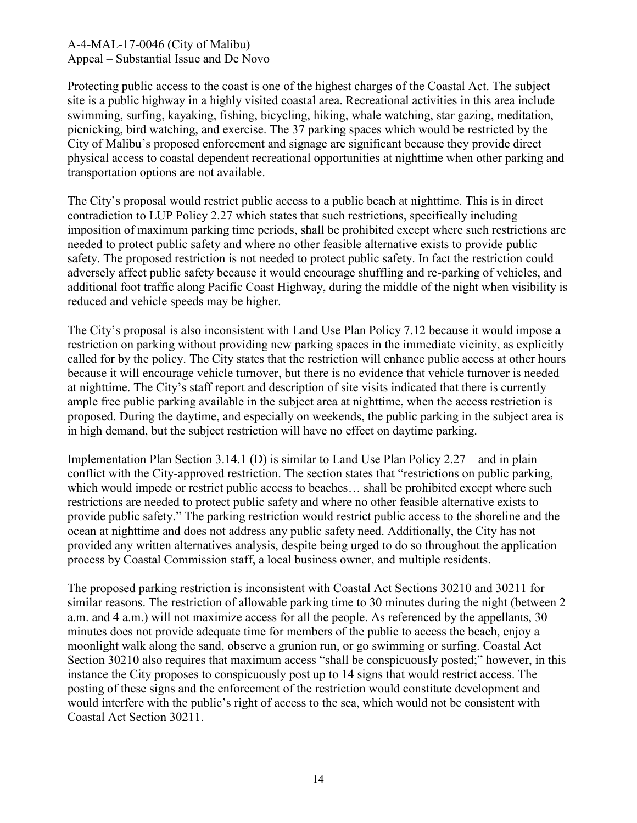Protecting public access to the coast is one of the highest charges of the Coastal Act. The subject site is a public highway in a highly visited coastal area. Recreational activities in this area include swimming, surfing, kayaking, fishing, bicycling, hiking, whale watching, star gazing, meditation, picnicking, bird watching, and exercise. The 37 parking spaces which would be restricted by the City of Malibu's proposed enforcement and signage are significant because they provide direct physical access to coastal dependent recreational opportunities at nighttime when other parking and transportation options are not available.

The City's proposal would restrict public access to a public beach at nighttime. This is in direct contradiction to LUP Policy 2.27 which states that such restrictions, specifically including imposition of maximum parking time periods, shall be prohibited except where such restrictions are needed to protect public safety and where no other feasible alternative exists to provide public safety. The proposed restriction is not needed to protect public safety. In fact the restriction could adversely affect public safety because it would encourage shuffling and re-parking of vehicles, and additional foot traffic along Pacific Coast Highway, during the middle of the night when visibility is reduced and vehicle speeds may be higher.

The City's proposal is also inconsistent with Land Use Plan Policy 7.12 because it would impose a restriction on parking without providing new parking spaces in the immediate vicinity, as explicitly called for by the policy. The City states that the restriction will enhance public access at other hours because it will encourage vehicle turnover, but there is no evidence that vehicle turnover is needed at nighttime. The City's staff report and description of site visits indicated that there is currently ample free public parking available in the subject area at nighttime, when the access restriction is proposed. During the daytime, and especially on weekends, the public parking in the subject area is in high demand, but the subject restriction will have no effect on daytime parking.

Implementation Plan Section 3.14.1 (D) is similar to Land Use Plan Policy 2.27 – and in plain conflict with the City-approved restriction. The section states that "restrictions on public parking, which would impede or restrict public access to beaches... shall be prohibited except where such restrictions are needed to protect public safety and where no other feasible alternative exists to provide public safety." The parking restriction would restrict public access to the shoreline and the ocean at nighttime and does not address any public safety need. Additionally, the City has not provided any written alternatives analysis, despite being urged to do so throughout the application process by Coastal Commission staff, a local business owner, and multiple residents.

The proposed parking restriction is inconsistent with Coastal Act Sections 30210 and 30211 for similar reasons. The restriction of allowable parking time to 30 minutes during the night (between 2 a.m. and 4 a.m.) will not maximize access for all the people. As referenced by the appellants, 30 minutes does not provide adequate time for members of the public to access the beach, enjoy a moonlight walk along the sand, observe a grunion run, or go swimming or surfing. Coastal Act Section 30210 also requires that maximum access "shall be conspicuously posted;" however, in this instance the City proposes to conspicuously post up to 14 signs that would restrict access. The posting of these signs and the enforcement of the restriction would constitute development and would interfere with the public's right of access to the sea, which would not be consistent with Coastal Act Section 30211.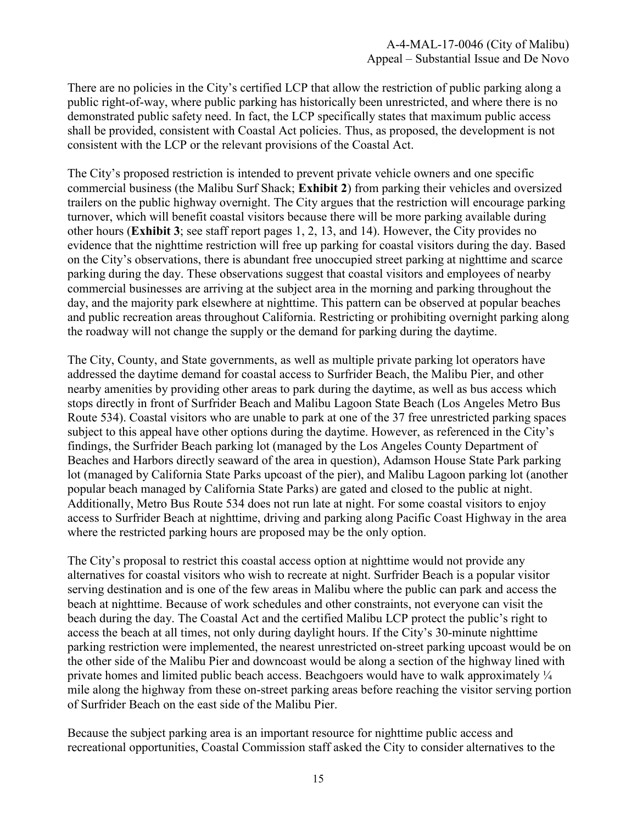There are no policies in the City's certified LCP that allow the restriction of public parking along a public right-of-way, where public parking has historically been unrestricted, and where there is no demonstrated public safety need. In fact, the LCP specifically states that maximum public access shall be provided, consistent with Coastal Act policies. Thus, as proposed, the development is not consistent with the LCP or the relevant provisions of the Coastal Act.

The City's proposed restriction is intended to prevent private vehicle owners and one specific commercial business (the Malibu Surf Shack; **Exhibit 2**) from parking their vehicles and oversized trailers on the public highway overnight. The City argues that the restriction will encourage parking turnover, which will benefit coastal visitors because there will be more parking available during other hours (**Exhibit 3**; see staff report pages 1, 2, 13, and 14). However, the City provides no evidence that the nighttime restriction will free up parking for coastal visitors during the day. Based on the City's observations, there is abundant free unoccupied street parking at nighttime and scarce parking during the day. These observations suggest that coastal visitors and employees of nearby commercial businesses are arriving at the subject area in the morning and parking throughout the day, and the majority park elsewhere at nighttime. This pattern can be observed at popular beaches and public recreation areas throughout California. Restricting or prohibiting overnight parking along the roadway will not change the supply or the demand for parking during the daytime.

The City, County, and State governments, as well as multiple private parking lot operators have addressed the daytime demand for coastal access to Surfrider Beach, the Malibu Pier, and other nearby amenities by providing other areas to park during the daytime, as well as bus access which stops directly in front of Surfrider Beach and Malibu Lagoon State Beach (Los Angeles Metro Bus Route 534). Coastal visitors who are unable to park at one of the 37 free unrestricted parking spaces subject to this appeal have other options during the daytime. However, as referenced in the City's findings, the Surfrider Beach parking lot (managed by the Los Angeles County Department of Beaches and Harbors directly seaward of the area in question), Adamson House State Park parking lot (managed by California State Parks upcoast of the pier), and Malibu Lagoon parking lot (another popular beach managed by California State Parks) are gated and closed to the public at night. Additionally, Metro Bus Route 534 does not run late at night. For some coastal visitors to enjoy access to Surfrider Beach at nighttime, driving and parking along Pacific Coast Highway in the area where the restricted parking hours are proposed may be the only option.

The City's proposal to restrict this coastal access option at nighttime would not provide any alternatives for coastal visitors who wish to recreate at night. Surfrider Beach is a popular visitor serving destination and is one of the few areas in Malibu where the public can park and access the beach at nighttime. Because of work schedules and other constraints, not everyone can visit the beach during the day. The Coastal Act and the certified Malibu LCP protect the public's right to access the beach at all times, not only during daylight hours. If the City's 30-minute nighttime parking restriction were implemented, the nearest unrestricted on-street parking upcoast would be on the other side of the Malibu Pier and downcoast would be along a section of the highway lined with private homes and limited public beach access. Beachgoers would have to walk approximately ¼ mile along the highway from these on-street parking areas before reaching the visitor serving portion of Surfrider Beach on the east side of the Malibu Pier.

Because the subject parking area is an important resource for nighttime public access and recreational opportunities, Coastal Commission staff asked the City to consider alternatives to the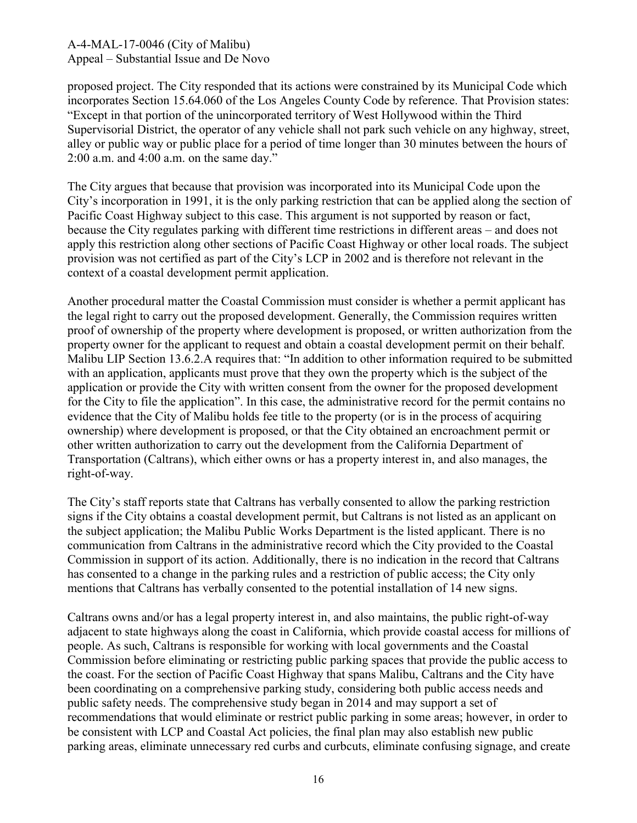proposed project. The City responded that its actions were constrained by its Municipal Code which incorporates Section 15.64.060 of the Los Angeles County Code by reference. That Provision states: "Except in that portion of the unincorporated territory of West Hollywood within the Third Supervisorial District, the operator of any vehicle shall not park such vehicle on any highway, street, alley or public way or public place for a period of time longer than 30 minutes between the hours of 2:00 a.m. and 4:00 a.m. on the same day."

The City argues that because that provision was incorporated into its Municipal Code upon the City's incorporation in 1991, it is the only parking restriction that can be applied along the section of Pacific Coast Highway subject to this case. This argument is not supported by reason or fact, because the City regulates parking with different time restrictions in different areas – and does not apply this restriction along other sections of Pacific Coast Highway or other local roads. The subject provision was not certified as part of the City's LCP in 2002 and is therefore not relevant in the context of a coastal development permit application.

Another procedural matter the Coastal Commission must consider is whether a permit applicant has the legal right to carry out the proposed development. Generally, the Commission requires written proof of ownership of the property where development is proposed, or written authorization from the property owner for the applicant to request and obtain a coastal development permit on their behalf. Malibu LIP Section 13.6.2.A requires that: "In addition to other information required to be submitted with an application, applicants must prove that they own the property which is the subject of the application or provide the City with written consent from the owner for the proposed development for the City to file the application". In this case, the administrative record for the permit contains no evidence that the City of Malibu holds fee title to the property (or is in the process of acquiring ownership) where development is proposed, or that the City obtained an encroachment permit or other written authorization to carry out the development from the California Department of Transportation (Caltrans), which either owns or has a property interest in, and also manages, the right-of-way.

The City's staff reports state that Caltrans has verbally consented to allow the parking restriction signs if the City obtains a coastal development permit, but Caltrans is not listed as an applicant on the subject application; the Malibu Public Works Department is the listed applicant. There is no communication from Caltrans in the administrative record which the City provided to the Coastal Commission in support of its action. Additionally, there is no indication in the record that Caltrans has consented to a change in the parking rules and a restriction of public access; the City only mentions that Caltrans has verbally consented to the potential installation of 14 new signs.

Caltrans owns and/or has a legal property interest in, and also maintains, the public right-of-way adjacent to state highways along the coast in California, which provide coastal access for millions of people. As such, Caltrans is responsible for working with local governments and the Coastal Commission before eliminating or restricting public parking spaces that provide the public access to the coast. For the section of Pacific Coast Highway that spans Malibu, Caltrans and the City have been coordinating on a comprehensive parking study, considering both public access needs and public safety needs. The comprehensive study began in 2014 and may support a set of recommendations that would eliminate or restrict public parking in some areas; however, in order to be consistent with LCP and Coastal Act policies, the final plan may also establish new public parking areas, eliminate unnecessary red curbs and curbcuts, eliminate confusing signage, and create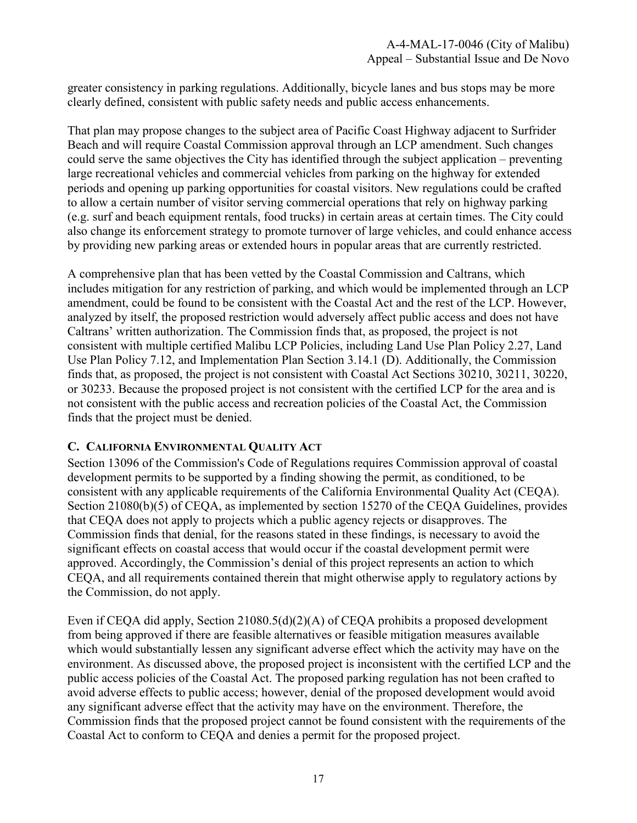greater consistency in parking regulations. Additionally, bicycle lanes and bus stops may be more clearly defined, consistent with public safety needs and public access enhancements.

That plan may propose changes to the subject area of Pacific Coast Highway adjacent to Surfrider Beach and will require Coastal Commission approval through an LCP amendment. Such changes could serve the same objectives the City has identified through the subject application – preventing large recreational vehicles and commercial vehicles from parking on the highway for extended periods and opening up parking opportunities for coastal visitors. New regulations could be crafted to allow a certain number of visitor serving commercial operations that rely on highway parking (e.g. surf and beach equipment rentals, food trucks) in certain areas at certain times. The City could also change its enforcement strategy to promote turnover of large vehicles, and could enhance access by providing new parking areas or extended hours in popular areas that are currently restricted.

A comprehensive plan that has been vetted by the Coastal Commission and Caltrans, which includes mitigation for any restriction of parking, and which would be implemented through an LCP amendment, could be found to be consistent with the Coastal Act and the rest of the LCP. However, analyzed by itself, the proposed restriction would adversely affect public access and does not have Caltrans' written authorization. The Commission finds that, as proposed, the project is not consistent with multiple certified Malibu LCP Policies, including Land Use Plan Policy 2.27, Land Use Plan Policy 7.12, and Implementation Plan Section 3.14.1 (D). Additionally, the Commission finds that, as proposed, the project is not consistent with Coastal Act Sections 30210, 30211, 30220, or 30233. Because the proposed project is not consistent with the certified LCP for the area and is not consistent with the public access and recreation policies of the Coastal Act, the Commission finds that the project must be denied.

#### **C. CALIFORNIA ENVIRONMENTAL QUALITY ACT**

Section 13096 of the Commission's Code of Regulations requires Commission approval of coastal development permits to be supported by a finding showing the permit, as conditioned, to be consistent with any applicable requirements of the California Environmental Quality Act (CEQA). Section 21080(b)(5) of CEQA, as implemented by section 15270 of the CEQA Guidelines, provides that CEQA does not apply to projects which a public agency rejects or disapproves. The Commission finds that denial, for the reasons stated in these findings, is necessary to avoid the significant effects on coastal access that would occur if the coastal development permit were approved. Accordingly, the Commission's denial of this project represents an action to which CEQA, and all requirements contained therein that might otherwise apply to regulatory actions by the Commission, do not apply.

Even if CEQA did apply, Section 21080.5(d)(2)(A) of CEQA prohibits a proposed development from being approved if there are feasible alternatives or feasible mitigation measures available which would substantially lessen any significant adverse effect which the activity may have on the environment. As discussed above, the proposed project is inconsistent with the certified LCP and the public access policies of the Coastal Act. The proposed parking regulation has not been crafted to avoid adverse effects to public access; however, denial of the proposed development would avoid any significant adverse effect that the activity may have on the environment. Therefore, the Commission finds that the proposed project cannot be found consistent with the requirements of the Coastal Act to conform to CEQA and denies a permit for the proposed project.